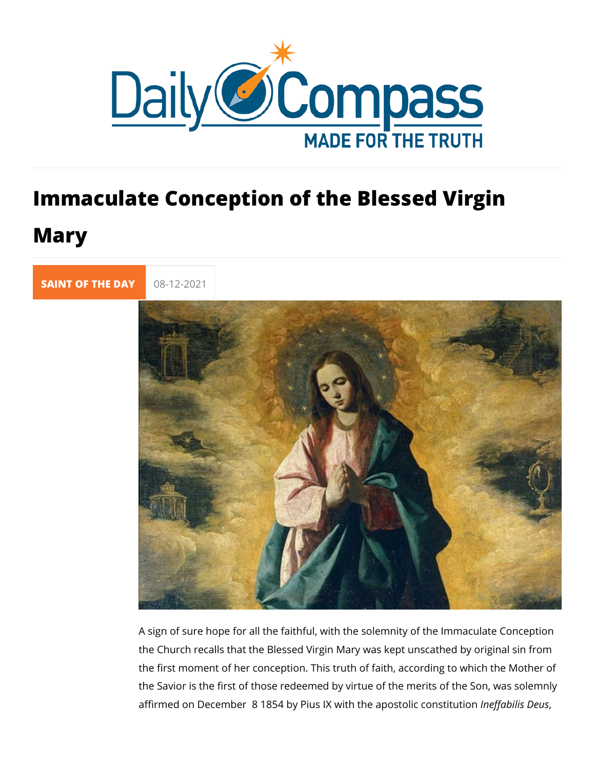## Immaculate Conception of the Blessed Mary

[SAINT OF TH](https://newdailycompass.com/en/santi-del-giorno)E 08-12-2021

A sign of sure hope for all the faithful, with the solemnity of t the Church recalls that the Blessed Virgin Mary was kept unsc the first moment of her conception. This truth of faith, accordi the Savior is the first of those redeemed by virtue of the merit affirmed on December 8 1854 by Pius IX with the efaxabilicaline ecuce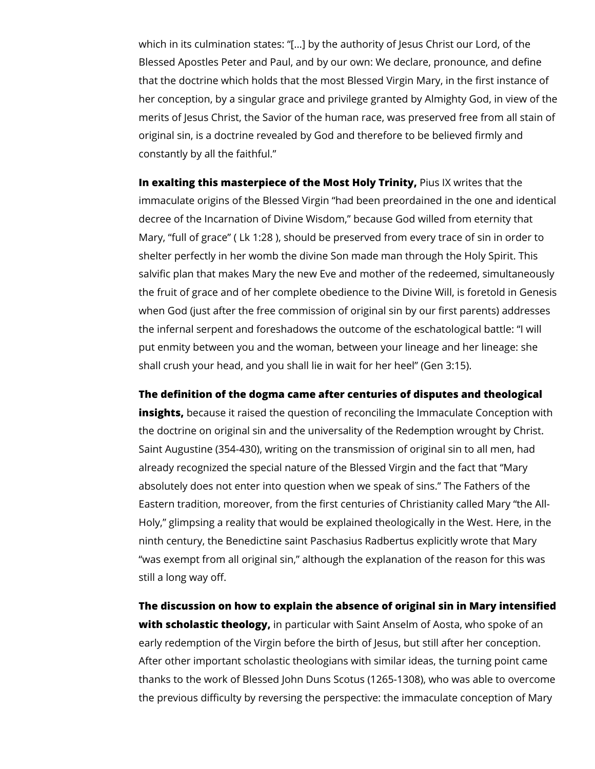which in its culmination states: "[…] by the authority of Jesus Christ our Lord, of the Blessed Apostles Peter and Paul, and by our own: We declare, pronounce, and define that the doctrine which holds that the most Blessed Virgin Mary, in the first instance of her conception, by a singular grace and privilege granted by Almighty God, in view of the merits of Jesus Christ, the Savior of the human race, was preserved free from all stain of original sin, is a doctrine revealed by God and therefore to be believed firmly and constantly by all the faithful."

**In exalting this masterpiece of the Most Holy Trinity, Pius IX writes that the** immaculate origins of the Blessed Virgin "had been preordained in the one and identical decree of the Incarnation of Divine Wisdom," because God willed from eternity that Mary, "full of grace" ( Lk 1:28 ), should be preserved from every trace of sin in order to shelter perfectly in her womb the divine Son made man through the Holy Spirit. This salvific plan that makes Mary the new Eve and mother of the redeemed, simultaneously the fruit of grace and of her complete obedience to the Divine Will, is foretold in Genesis when God (just after the free commission of original sin by our first parents) addresses the infernal serpent and foreshadows the outcome of the eschatological battle: "I will put enmity between you and the woman, between your lineage and her lineage: she shall crush your head, and you shall lie in wait for her heel" (Gen 3:15).

**The definition of the dogma came after centuries of disputes and theological** 

**insights,** because it raised the question of reconciling the Immaculate Conception with the doctrine on original sin and the universality of the Redemption wrought by Christ. Saint Augustine (354-430), writing on the transmission of original sin to all men, had already recognized the special nature of the Blessed Virgin and the fact that "Mary absolutely does not enter into question when we speak of sins." The Fathers of the Eastern tradition, moreover, from the first centuries of Christianity called Mary "the All-Holy," glimpsing a reality that would be explained theologically in the West. Here, in the ninth century, the Benedictine saint Paschasius Radbertus explicitly wrote that Mary "was exempt from all original sin," although the explanation of the reason for this was still a long way off.

**The discussion on how to explain the absence of original sin in Mary intensified with scholastic theology,** in particular with Saint Anselm of Aosta, who spoke of an early redemption of the Virgin before the birth of Jesus, but still after her conception. After other important scholastic theologians with similar ideas, the turning point came thanks to the work of Blessed John Duns Scotus (1265-1308), who was able to overcome the previous difficulty by reversing the perspective: the immaculate conception of Mary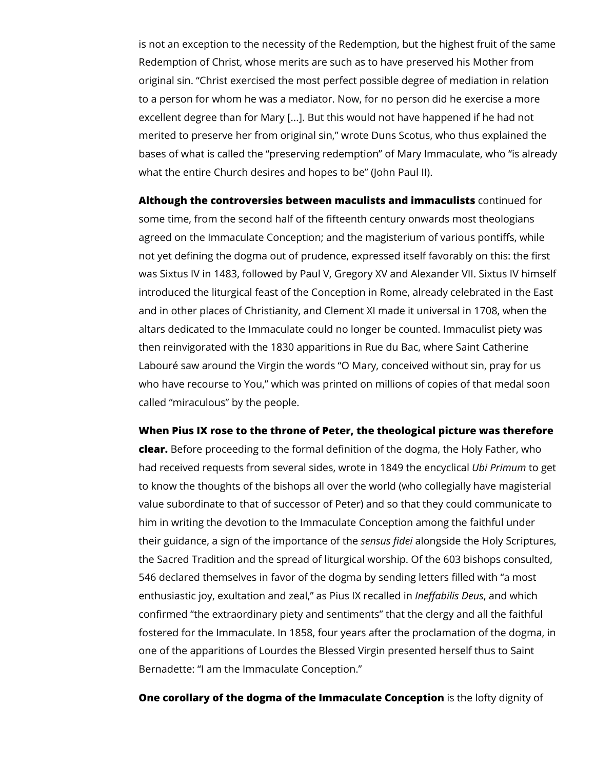is not an exception to the necessity of the Redemption, but the highest fruit of the same Redemption of Christ, whose merits are such as to have preserved his Mother from original sin. "Christ exercised the most perfect possible degree of mediation in relation to a person for whom he was a mediator. Now, for no person did he exercise a more excellent degree than for Mary [...]. But this would not have happened if he had not merited to preserve her from original sin," wrote Duns Scotus, who thus explained the bases of what is called the "preserving redemption" of Mary Immaculate, who "is already what the entire Church desires and hopes to be" (John Paul II).

**Although the controversies between maculists and immaculists** continued for some time, from the second half of the fifteenth century onwards most theologians agreed on the Immaculate Conception; and the magisterium of various pontiffs, while not yet defining the dogma out of prudence, expressed itself favorably on this: the first was Sixtus IV in 1483, followed by Paul V, Gregory XV and Alexander VII. Sixtus IV himself introduced the liturgical feast of the Conception in Rome, already celebrated in the East and in other places of Christianity, and Clement XI made it universal in 1708, when the altars dedicated to the Immaculate could no longer be counted. Immaculist piety was then reinvigorated with the 1830 apparitions in Rue du Bac, where Saint Catherine Labouré saw around the Virgin the words "O Mary, conceived without sin, pray for us who have recourse to You," which was printed on millions of copies of that medal soon called "miraculous" by the people.

## **When Pius IX rose to the throne of Peter, the theological picture was therefore**

**clear.** Before proceeding to the formal definition of the dogma, the Holy Father, who had received requests from several sides, wrote in 1849 the encyclical *Ubi Primum* to get to know the thoughts of the bishops all over the world (who collegially have magisterial value subordinate to that of successor of Peter) and so that they could communicate to him in writing the devotion to the Immaculate Conception among the faithful under their guidance, a sign of the importance of the *sensus fidei* alongside the Holy Scriptures, the Sacred Tradition and the spread of liturgical worship. Of the 603 bishops consulted, 546 declared themselves in favor of the dogma by sending letters filled with "a most enthusiastic joy, exultation and zeal," as Pius IX recalled in *Ineffabilis Deus*, and which confirmed "the extraordinary piety and sentiments" that the clergy and all the faithful fostered for the Immaculate. In 1858, four years after the proclamation of the dogma, in one of the apparitions of Lourdes the Blessed Virgin presented herself thus to Saint Bernadette: "I am the Immaculate Conception."

**One corollary of the dogma of the Immaculate Conception** is the lofty dignity of